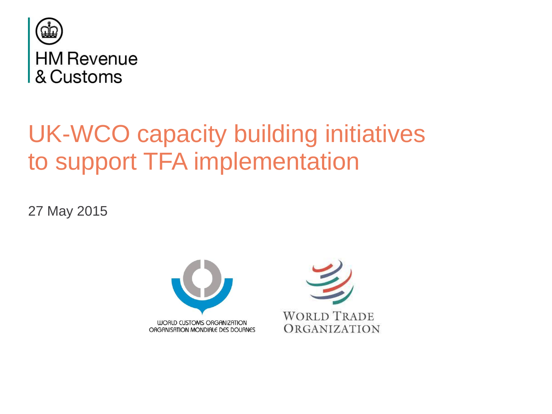

## UK-WCO capacity building initiatives to support TFA implementation

27 May 2015



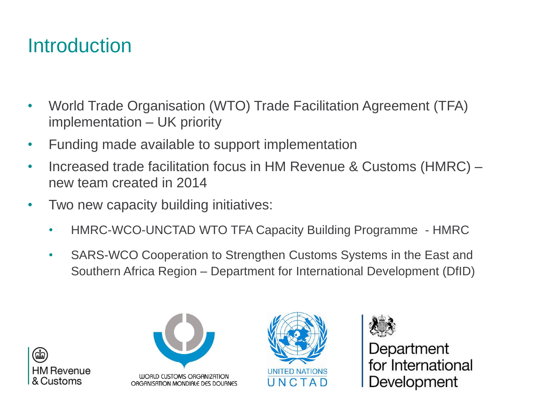### Introduction

- World Trade Organisation (WTO) Trade Facilitation Agreement (TFA) implementation – UK priority
- Funding made available to support implementation
- Increased trade facilitation focus in HM Revenue & Customs (HMRC) new team created in 2014
- Two new capacity building initiatives:
	- HMRC-WCO-UNCTAD WTO TFA Capacity Building Programme HMRC
	- SARS-WCO Cooperation to Strengthen Customs Systems in the East and Southern Africa Region – Department for International Development (DfID)









Department for International Development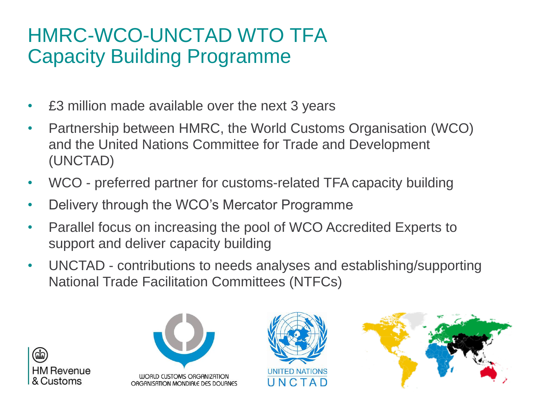### HMRC-WCO-UNCTAD WTO TFA Capacity Building Programme

- £3 million made available over the next 3 years
- Partnership between HMRC, the World Customs Organisation (WCO) and the United Nations Committee for Trade and Development (UNCTAD)
- WCO preferred partner for customs-related TFA capacity building
- Delivery through the WCO's Mercator Programme
- Parallel focus on increasing the pool of WCO Accredited Experts to support and deliver capacity building
- UNCTAD contributions to needs analyses and establishing/supporting National Trade Facilitation Committees (NTFCs)







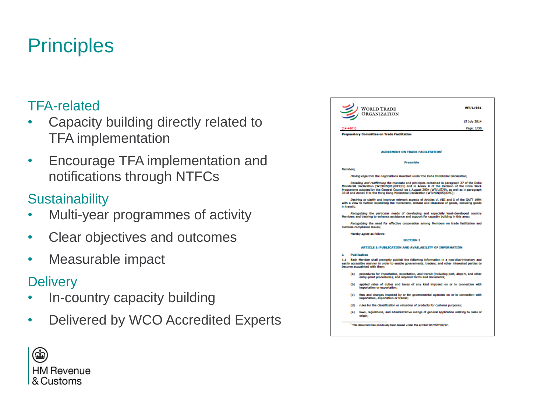### **Principles**

#### TFA-related

- Capacity building directly related to TFA implementation
- Encourage TFA implementation and notifications through NTFCs

#### **Sustainability**

- Multi-year programmes of activity
- Clear objectives and outcomes
- Measurable impact

#### **Delivery**

- In-country capacity building
- Delivered by WCO Accredited Experts

| ORGANIZATION<br>$(14 - 4101)$<br><b>Preparatory Committee on Trade Facilitation</b>                                                                                                                                                                                                                                                                                       | 15 July 2014<br>Page: 1/30                                              |
|---------------------------------------------------------------------------------------------------------------------------------------------------------------------------------------------------------------------------------------------------------------------------------------------------------------------------------------------------------------------------|-------------------------------------------------------------------------|
|                                                                                                                                                                                                                                                                                                                                                                           |                                                                         |
|                                                                                                                                                                                                                                                                                                                                                                           |                                                                         |
|                                                                                                                                                                                                                                                                                                                                                                           |                                                                         |
|                                                                                                                                                                                                                                                                                                                                                                           |                                                                         |
|                                                                                                                                                                                                                                                                                                                                                                           |                                                                         |
|                                                                                                                                                                                                                                                                                                                                                                           |                                                                         |
| <b>AGREEMENT ON TRADE FACILITATION'</b>                                                                                                                                                                                                                                                                                                                                   |                                                                         |
| <b>Preamble</b>                                                                                                                                                                                                                                                                                                                                                           |                                                                         |
| Members.                                                                                                                                                                                                                                                                                                                                                                  |                                                                         |
| Having regard to the negotiations launched under the Doha Ministerial Declaration:                                                                                                                                                                                                                                                                                        |                                                                         |
| Recalling and reaffirming the mandate and principles contained in paragraph 27 of the Doha<br>Ministerial Declaration (WT/MIN(01)/DEC/1) and in Annex D of the Decision of the Doha Work<br>Programme adopted by the General Council on 1 August 2004 (WT/L/579), as well as in paragraph<br>33 of and Annex E to the Hong Kong Ministerial Declaration (WT/MIN(05)/DEC); |                                                                         |
| Desiring to clarify and improve relevant aspects of Articles V. VIII and X of the GATT 1994<br>with a view to further expediting the movement, release and clearance of goods, including goods<br>in transit;                                                                                                                                                             |                                                                         |
| Recognizing the particular needs of developing and especially least-developed country<br>Members and desiring to enhance assistance and support for capacity building in this area;                                                                                                                                                                                       |                                                                         |
| Recognizing the need for effective cooperation among Members on trade facilitation and<br>customs compliance issues;                                                                                                                                                                                                                                                      |                                                                         |
| Hereby agree as follows:                                                                                                                                                                                                                                                                                                                                                  |                                                                         |
| <b>SECTION I</b>                                                                                                                                                                                                                                                                                                                                                          |                                                                         |
| ARTICLE 1: PUBLICATION AND AVAILABILITY OF INFORMATION                                                                                                                                                                                                                                                                                                                    |                                                                         |
| <b>Publication</b>                                                                                                                                                                                                                                                                                                                                                        |                                                                         |
| Each Member shall promptly publish the following information in a non-discriminatory and<br>easily accessible manner in order to enable governments, traders, and other interested parties to<br>become acquainted with them:                                                                                                                                             |                                                                         |
| procedures for importation, exportation, and transit (including port, airport, and other<br>(a)<br>entry-point procedures), and required forms and documents;                                                                                                                                                                                                             |                                                                         |
| applied rates of duties and taxes of any kind imposed on or in connection with<br>$\bf{D}$<br>importation or exportation:                                                                                                                                                                                                                                                 |                                                                         |
| fees and charges imposed by or for governmental agencies on or in connection with<br>(c)<br>importation, exportation or transit:                                                                                                                                                                                                                                          |                                                                         |
| rules for the classification or valuation of products for customs purposes;<br>(d)                                                                                                                                                                                                                                                                                        |                                                                         |
| laws, regulations, and administrative rulings of general application relating to rules of<br>(e)<br>origin:                                                                                                                                                                                                                                                               |                                                                         |
|                                                                                                                                                                                                                                                                                                                                                                           | This document has previously been issued under the symbol WT/PCTF/W/27. |

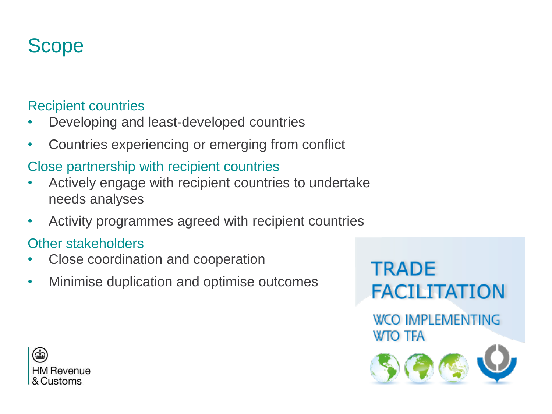### Scope

#### Recipient countries

- Developing and least-developed countries
- Countries experiencing or emerging from conflict

### Close partnership with recipient countries

- Actively engage with recipient countries to undertake needs analyses
- Activity programmes agreed with recipient countries

#### Other stakeholders

- Close coordination and cooperation
- Minimise duplication and optimise outcomes



**WCO IMPLEMENTING WTO TFA** 



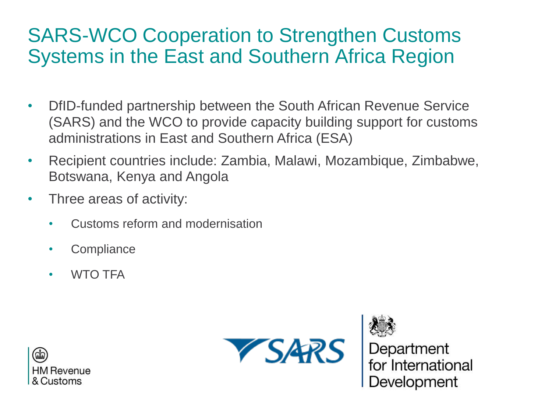### SARS-WCO Cooperation to Strengthen Customs Systems in the East and Southern Africa Region

- DfID-funded partnership between the South African Revenue Service (SARS) and the WCO to provide capacity building support for customs administrations in East and Southern Africa (ESA)
- Recipient countries include: Zambia, Malawi, Mozambique, Zimbabwe, Botswana, Kenya and Angola
- Three areas of activity:
	- Customs reform and modernisation
	- **Compliance**
	- WTO TFA







Development